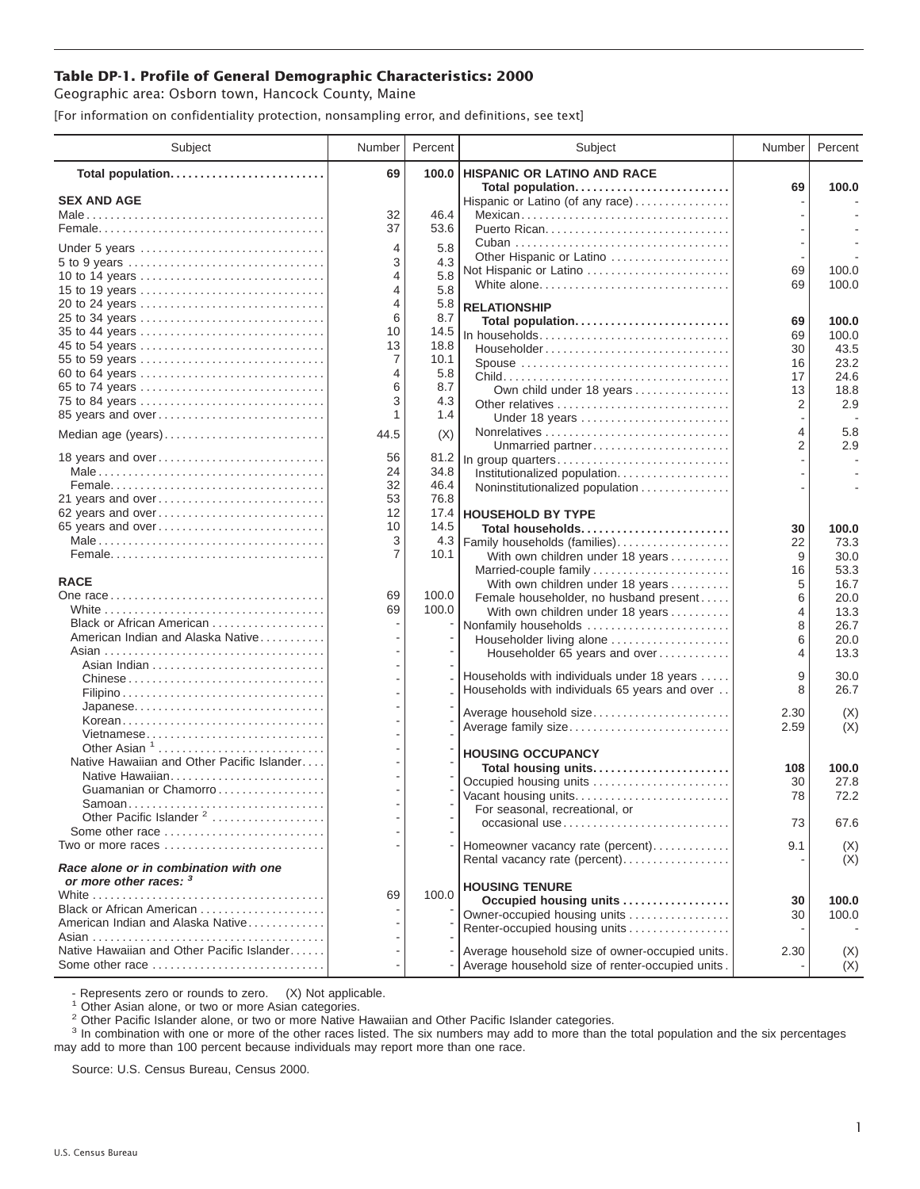## **Table DP-1. Profile of General Demographic Characteristics: 2000**

Geographic area: Osborn town, Hancock County, Maine

[For information on confidentiality protection, nonsampling error, and definitions, see text]

| Subject                                                         | Number         | Percent     | Subject                                                           | Number  | Percent      |
|-----------------------------------------------------------------|----------------|-------------|-------------------------------------------------------------------|---------|--------------|
| Total population                                                | 69             | 100.0       | <b>HISPANIC OR LATINO AND RACE</b>                                |         |              |
| <b>SEX AND AGE</b>                                              |                |             | Total population<br>Hispanic or Latino (of any race)              | 69      | 100.0        |
|                                                                 | 32             | 46.4        | Mexican                                                           |         |              |
|                                                                 | 37             | 53.6        |                                                                   |         |              |
|                                                                 | $\overline{4}$ | 5.8         |                                                                   |         |              |
| Under 5 years<br>5 to 9 years                                   | 3              | 4.3         | Other Hispanic or Latino                                          |         |              |
| 10 to 14 years                                                  | 4              | 5.8         | Not Hispanic or Latino                                            | 69      | 100.0        |
| 15 to 19 years                                                  | 4              | 5.8         | White alone                                                       | 69      | 100.0        |
| 20 to 24 years                                                  | 4              | 5.8         | <b>RELATIONSHIP</b>                                               |         |              |
| 25 to 34 years                                                  | 6              | 8.7         | Total population                                                  | 69      | 100.0        |
| 35 to 44 years                                                  | 10             | 14.5        |                                                                   | 69      | 100.0        |
| 45 to 54 years                                                  | 13             | 18.8        | Householder                                                       | 30      | 43.5         |
| 55 to 59 years                                                  | 7              | 10.1        |                                                                   | 16      | 23.2         |
| 60 to 64 years                                                  | 4              | 5.8         |                                                                   | 17      | 24.6         |
| 65 to 74 years                                                  | 6<br>3         | 8.7<br>4.3  | Own child under 18 years                                          | 13      | 18.8         |
| 75 to 84 years<br>85 years and over                             | 1              | 1.4         | Other relatives<br>Under 18 years                                 | 2       | 2.9          |
| Median age (years)                                              | 44.5           | (X)         |                                                                   | 4       | 5.8          |
|                                                                 |                |             | Unmarried partner                                                 | 2       | 2.9          |
| 18 years and over                                               | 56             | 81.2        | In group quarters                                                 |         |              |
|                                                                 | 24             | 34.8        | Institutionalized population                                      |         |              |
|                                                                 | 32             | 46.4        | Noninstitutionalized population                                   |         |              |
| 21 years and over                                               | 53             | 76.8        |                                                                   |         |              |
| 62 years and over                                               | 12             | 17.4        | <b>HOUSEHOLD BY TYPE</b>                                          |         |              |
| 65 years and over                                               | 10             | 14.5        | Total households                                                  | 30      | 100.0        |
|                                                                 | 3<br>7         | 4.3<br>10.1 | Family households (families)                                      | 22      | 73.3         |
|                                                                 |                |             | With own children under 18 years                                  | 9<br>16 | 30.0<br>53.3 |
| <b>RACE</b>                                                     |                |             | Married-couple family<br>With own children under 18 years         | 5       | 16.7         |
|                                                                 | 69             | 100.0       | Female householder, no husband present                            | 6       | 20.0         |
|                                                                 | 69             | 100.0       | With own children under 18 years                                  | 4       | 13.3         |
| Black or African American                                       |                |             | Nonfamily households                                              | 8       | 26.7         |
| American Indian and Alaska Native                               |                |             | Householder living alone                                          | 6       | 20.0         |
|                                                                 |                |             | Householder 65 years and over                                     | 4       | 13.3         |
|                                                                 |                |             | Households with individuals under 18 years                        | 9       | 30.0         |
|                                                                 |                |             | Households with individuals 65 years and over                     | 8       | 26.7         |
|                                                                 |                |             |                                                                   |         |              |
| Korean                                                          |                |             | Average household size                                            | 2.30    | (X)          |
| Vietnamese                                                      |                |             | Average family size                                               | 2.59    | (X)          |
| Other Asian <sup>1</sup>                                        |                |             | <b>HOUSING OCCUPANCY</b>                                          |         |              |
| Native Hawaiian and Other Pacific Islander                      |                |             | Total housing units                                               | 108     | 100.0        |
| Native Hawaiian                                                 |                |             | Occupied housing units                                            | 30      | 27.8         |
| Guamanian or Chamorro                                           |                |             | Vacant housing units                                              | 78      | 72.2         |
| Samoan                                                          |                |             | For seasonal, recreational, or                                    |         |              |
| Other Pacific Islander <sup>2</sup>                             |                |             | occasional use                                                    | 73      | 67.6         |
| Some other race<br>Two or more races                            |                |             |                                                                   |         |              |
|                                                                 |                |             | Homeowner vacancy rate (percent)<br>Rental vacancy rate (percent) | 9.1     | (X)<br>(X)   |
| Race alone or in combination with one<br>or more other races: 3 |                |             |                                                                   |         |              |
|                                                                 | 69             | 100.0       | <b>HOUSING TENURE</b>                                             |         |              |
| Black or African American                                       |                |             | Occupied housing units                                            | 30      | 100.0        |
| American Indian and Alaska Native                               |                |             | Owner-occupied housing units                                      | 30      | 100.0        |
|                                                                 |                |             | Renter-occupied housing units                                     |         |              |
| Native Hawaiian and Other Pacific Islander                      |                |             | Average household size of owner-occupied units.                   | 2.30    | (X)          |
| Some other race                                                 |                |             | Average household size of renter-occupied units.                  |         | (X)          |

- Represents zero or rounds to zero. (X) Not applicable.<br><sup>1</sup> Other Asian alone, or two or more Asian categories.

<sup>2</sup> Other Pacific Islander alone, or two or more Native Hawaiian and Other Pacific Islander categories.<br><sup>3</sup> In combination with one or more of the other races listed. The six numbers may add to more than the total populati may add to more than 100 percent because individuals may report more than one race.

Source: U.S. Census Bureau, Census 2000.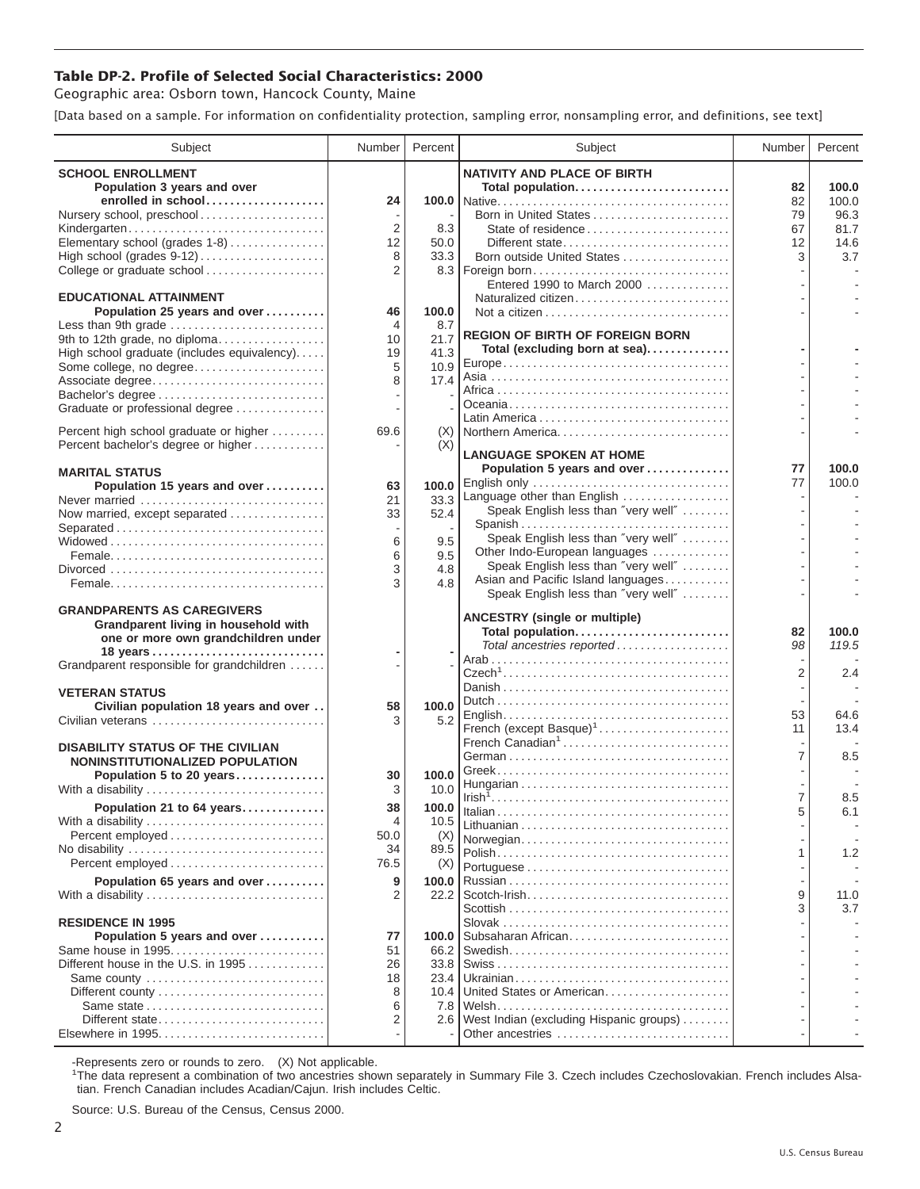## **Table DP-2. Profile of Selected Social Characteristics: 2000**

Geographic area: Osborn town, Hancock County, Maine

[Data based on a sample. For information on confidentiality protection, sampling error, nonsampling error, and definitions, see text]

| <b>SCHOOL ENROLLMENT</b><br><b>NATIVITY AND PLACE OF BIRTH</b><br>Population 3 years and over<br>Total population<br>82<br>enrolled in school<br>82<br>100.0<br>24<br>Nursery school, preschool<br>79<br>2<br>State of residence<br>Kindergarten<br>8.3<br>67<br>Elementary school (grades 1-8)<br>12<br>50.0<br>Different state<br>12<br>8<br>33.3<br>Born outside United States<br>3<br>College or graduate school<br>2<br>Entered 1990 to March 2000<br><b>EDUCATIONAL ATTAINMENT</b><br>Naturalized citizen<br>100.0<br>Population 25 years and over<br>46<br>Less than 9th grade<br>$\overline{4}$<br>8.7<br><b>REGION OF BIRTH OF FOREIGN BORN</b><br>9th to 12th grade, no diploma<br>21.7<br>10<br>Total (excluding born at sea)<br>41.3<br>High school graduate (includes equivalency)<br>19<br>Some college, no degree<br>5<br>10.9<br>17.4<br>8<br>Associate degree<br>Bachelor's degree<br>Graduate or professional degree<br>Percent high school graduate or higher<br>69.6<br>Northern America<br>(X)<br>Percent bachelor's degree or higher<br>(X)<br><b>LANGUAGE SPOKEN AT HOME</b><br>Population 5 years and over<br>77<br>100.0<br><b>MARITAL STATUS</b> | Subject | Number | Percent | Subject      | Number | Percent |
|----------------------------------------------------------------------------------------------------------------------------------------------------------------------------------------------------------------------------------------------------------------------------------------------------------------------------------------------------------------------------------------------------------------------------------------------------------------------------------------------------------------------------------------------------------------------------------------------------------------------------------------------------------------------------------------------------------------------------------------------------------------------------------------------------------------------------------------------------------------------------------------------------------------------------------------------------------------------------------------------------------------------------------------------------------------------------------------------------------------------------------------------------------------------------|---------|--------|---------|--------------|--------|---------|
|                                                                                                                                                                                                                                                                                                                                                                                                                                                                                                                                                                                                                                                                                                                                                                                                                                                                                                                                                                                                                                                                                                                                                                            |         |        |         |              |        | 100.0   |
|                                                                                                                                                                                                                                                                                                                                                                                                                                                                                                                                                                                                                                                                                                                                                                                                                                                                                                                                                                                                                                                                                                                                                                            |         |        |         |              |        | 96.3    |
|                                                                                                                                                                                                                                                                                                                                                                                                                                                                                                                                                                                                                                                                                                                                                                                                                                                                                                                                                                                                                                                                                                                                                                            |         |        |         |              |        | 81.7    |
|                                                                                                                                                                                                                                                                                                                                                                                                                                                                                                                                                                                                                                                                                                                                                                                                                                                                                                                                                                                                                                                                                                                                                                            |         |        |         |              |        | 14.6    |
|                                                                                                                                                                                                                                                                                                                                                                                                                                                                                                                                                                                                                                                                                                                                                                                                                                                                                                                                                                                                                                                                                                                                                                            |         |        |         |              |        | 3.7     |
|                                                                                                                                                                                                                                                                                                                                                                                                                                                                                                                                                                                                                                                                                                                                                                                                                                                                                                                                                                                                                                                                                                                                                                            |         |        |         |              |        |         |
|                                                                                                                                                                                                                                                                                                                                                                                                                                                                                                                                                                                                                                                                                                                                                                                                                                                                                                                                                                                                                                                                                                                                                                            |         |        |         |              |        |         |
|                                                                                                                                                                                                                                                                                                                                                                                                                                                                                                                                                                                                                                                                                                                                                                                                                                                                                                                                                                                                                                                                                                                                                                            |         |        |         |              |        |         |
|                                                                                                                                                                                                                                                                                                                                                                                                                                                                                                                                                                                                                                                                                                                                                                                                                                                                                                                                                                                                                                                                                                                                                                            |         |        |         |              |        |         |
|                                                                                                                                                                                                                                                                                                                                                                                                                                                                                                                                                                                                                                                                                                                                                                                                                                                                                                                                                                                                                                                                                                                                                                            |         |        |         |              |        |         |
|                                                                                                                                                                                                                                                                                                                                                                                                                                                                                                                                                                                                                                                                                                                                                                                                                                                                                                                                                                                                                                                                                                                                                                            |         |        |         |              |        |         |
|                                                                                                                                                                                                                                                                                                                                                                                                                                                                                                                                                                                                                                                                                                                                                                                                                                                                                                                                                                                                                                                                                                                                                                            |         |        |         |              |        |         |
|                                                                                                                                                                                                                                                                                                                                                                                                                                                                                                                                                                                                                                                                                                                                                                                                                                                                                                                                                                                                                                                                                                                                                                            |         |        |         |              |        |         |
|                                                                                                                                                                                                                                                                                                                                                                                                                                                                                                                                                                                                                                                                                                                                                                                                                                                                                                                                                                                                                                                                                                                                                                            |         |        |         |              |        |         |
|                                                                                                                                                                                                                                                                                                                                                                                                                                                                                                                                                                                                                                                                                                                                                                                                                                                                                                                                                                                                                                                                                                                                                                            |         |        |         |              |        |         |
|                                                                                                                                                                                                                                                                                                                                                                                                                                                                                                                                                                                                                                                                                                                                                                                                                                                                                                                                                                                                                                                                                                                                                                            |         |        |         |              |        |         |
|                                                                                                                                                                                                                                                                                                                                                                                                                                                                                                                                                                                                                                                                                                                                                                                                                                                                                                                                                                                                                                                                                                                                                                            |         |        |         |              |        |         |
| 77<br>Population 15 years and over<br>100.0<br>63                                                                                                                                                                                                                                                                                                                                                                                                                                                                                                                                                                                                                                                                                                                                                                                                                                                                                                                                                                                                                                                                                                                          |         |        |         | English only |        | 100.0   |
| Language other than English<br>33.3<br>Never married<br>21                                                                                                                                                                                                                                                                                                                                                                                                                                                                                                                                                                                                                                                                                                                                                                                                                                                                                                                                                                                                                                                                                                                 |         |        |         |              |        |         |
| Speak English less than "very well"<br>52.4<br>Now married, except separated<br>33                                                                                                                                                                                                                                                                                                                                                                                                                                                                                                                                                                                                                                                                                                                                                                                                                                                                                                                                                                                                                                                                                         |         |        |         |              |        |         |
| Spanish<br>Separated                                                                                                                                                                                                                                                                                                                                                                                                                                                                                                                                                                                                                                                                                                                                                                                                                                                                                                                                                                                                                                                                                                                                                       |         |        |         |              |        |         |
| Speak English less than "very well"<br>6<br>9.5<br>Other Indo-European languages                                                                                                                                                                                                                                                                                                                                                                                                                                                                                                                                                                                                                                                                                                                                                                                                                                                                                                                                                                                                                                                                                           |         |        |         |              |        |         |
| 6<br>9.5<br>Speak English less than "very well"<br>3<br>4.8                                                                                                                                                                                                                                                                                                                                                                                                                                                                                                                                                                                                                                                                                                                                                                                                                                                                                                                                                                                                                                                                                                                |         |        |         |              |        |         |
| Asian and Pacific Island languages<br>3<br>4.8                                                                                                                                                                                                                                                                                                                                                                                                                                                                                                                                                                                                                                                                                                                                                                                                                                                                                                                                                                                                                                                                                                                             |         |        |         |              |        |         |
| Speak English less than "very well"                                                                                                                                                                                                                                                                                                                                                                                                                                                                                                                                                                                                                                                                                                                                                                                                                                                                                                                                                                                                                                                                                                                                        |         |        |         |              |        |         |
| <b>GRANDPARENTS AS CAREGIVERS</b><br><b>ANCESTRY (single or multiple)</b>                                                                                                                                                                                                                                                                                                                                                                                                                                                                                                                                                                                                                                                                                                                                                                                                                                                                                                                                                                                                                                                                                                  |         |        |         |              |        |         |
| Grandparent living in household with<br>Total population<br>82<br>one or more own grandchildren under                                                                                                                                                                                                                                                                                                                                                                                                                                                                                                                                                                                                                                                                                                                                                                                                                                                                                                                                                                                                                                                                      |         |        |         |              |        | 100.0   |
| Total ancestries reported<br>98                                                                                                                                                                                                                                                                                                                                                                                                                                                                                                                                                                                                                                                                                                                                                                                                                                                                                                                                                                                                                                                                                                                                            |         |        |         |              |        | 119.5   |
| Grandparent responsible for grandchildren                                                                                                                                                                                                                                                                                                                                                                                                                                                                                                                                                                                                                                                                                                                                                                                                                                                                                                                                                                                                                                                                                                                                  |         |        |         |              |        |         |
| 2                                                                                                                                                                                                                                                                                                                                                                                                                                                                                                                                                                                                                                                                                                                                                                                                                                                                                                                                                                                                                                                                                                                                                                          |         |        |         |              |        | 2.4     |
| <b>VETERAN STATUS</b>                                                                                                                                                                                                                                                                                                                                                                                                                                                                                                                                                                                                                                                                                                                                                                                                                                                                                                                                                                                                                                                                                                                                                      |         |        |         |              |        |         |
| Civilian population 18 years and over<br>100.0<br>58<br>53<br>5.2<br>Civilian veterans<br>3                                                                                                                                                                                                                                                                                                                                                                                                                                                                                                                                                                                                                                                                                                                                                                                                                                                                                                                                                                                                                                                                                |         |        |         |              |        | 64.6    |
| French (except Basque) <sup>1</sup><br>11                                                                                                                                                                                                                                                                                                                                                                                                                                                                                                                                                                                                                                                                                                                                                                                                                                                                                                                                                                                                                                                                                                                                  |         |        |         |              |        | 13.4    |
| French Canadian <sup>1</sup><br><b>DISABILITY STATUS OF THE CIVILIAN</b><br>7                                                                                                                                                                                                                                                                                                                                                                                                                                                                                                                                                                                                                                                                                                                                                                                                                                                                                                                                                                                                                                                                                              |         |        |         |              |        | 8.5     |
| NONINSTITUTIONALIZED POPULATION                                                                                                                                                                                                                                                                                                                                                                                                                                                                                                                                                                                                                                                                                                                                                                                                                                                                                                                                                                                                                                                                                                                                            |         |        |         |              |        |         |
| Population 5 to 20 years<br>100.0<br>30<br>With a disability<br>3<br>10.0                                                                                                                                                                                                                                                                                                                                                                                                                                                                                                                                                                                                                                                                                                                                                                                                                                                                                                                                                                                                                                                                                                  |         |        |         |              |        |         |
| 7<br>Population 21 to 64 years<br>100.0<br>38                                                                                                                                                                                                                                                                                                                                                                                                                                                                                                                                                                                                                                                                                                                                                                                                                                                                                                                                                                                                                                                                                                                              |         |        |         |              |        | 8.5     |
| 10.5<br>With a disability<br>4                                                                                                                                                                                                                                                                                                                                                                                                                                                                                                                                                                                                                                                                                                                                                                                                                                                                                                                                                                                                                                                                                                                                             |         |        |         |              |        | 6.1     |
| Percent employed<br>50.0<br>(X)<br>Norwegian                                                                                                                                                                                                                                                                                                                                                                                                                                                                                                                                                                                                                                                                                                                                                                                                                                                                                                                                                                                                                                                                                                                               |         |        |         |              |        |         |
| 34<br>89.5<br>1                                                                                                                                                                                                                                                                                                                                                                                                                                                                                                                                                                                                                                                                                                                                                                                                                                                                                                                                                                                                                                                                                                                                                            |         |        |         |              |        | 1.2     |
| 76.5<br>Percent employed<br>(X)                                                                                                                                                                                                                                                                                                                                                                                                                                                                                                                                                                                                                                                                                                                                                                                                                                                                                                                                                                                                                                                                                                                                            |         |        |         |              |        |         |
| Population 65 years and over<br>9<br>100.0                                                                                                                                                                                                                                                                                                                                                                                                                                                                                                                                                                                                                                                                                                                                                                                                                                                                                                                                                                                                                                                                                                                                 |         |        |         |              |        |         |
| 9<br>With a disability<br>2<br>22.2                                                                                                                                                                                                                                                                                                                                                                                                                                                                                                                                                                                                                                                                                                                                                                                                                                                                                                                                                                                                                                                                                                                                        |         |        |         |              |        | 11.0    |
| 3<br><b>RESIDENCE IN 1995</b>                                                                                                                                                                                                                                                                                                                                                                                                                                                                                                                                                                                                                                                                                                                                                                                                                                                                                                                                                                                                                                                                                                                                              |         |        |         |              |        | 3.7     |
| Subsaharan African<br>Population 5 years and over<br>77<br>100.0                                                                                                                                                                                                                                                                                                                                                                                                                                                                                                                                                                                                                                                                                                                                                                                                                                                                                                                                                                                                                                                                                                           |         |        |         |              |        |         |
| Same house in 1995<br>51<br>66.2                                                                                                                                                                                                                                                                                                                                                                                                                                                                                                                                                                                                                                                                                                                                                                                                                                                                                                                                                                                                                                                                                                                                           |         |        |         |              |        |         |
| Different house in the U.S. in 1995<br>33.8<br>26                                                                                                                                                                                                                                                                                                                                                                                                                                                                                                                                                                                                                                                                                                                                                                                                                                                                                                                                                                                                                                                                                                                          |         |        |         |              |        |         |
| Same county<br>18<br>23.4<br>United States or American                                                                                                                                                                                                                                                                                                                                                                                                                                                                                                                                                                                                                                                                                                                                                                                                                                                                                                                                                                                                                                                                                                                     |         |        |         |              |        |         |
| 8<br>10.4<br>7.8<br>6                                                                                                                                                                                                                                                                                                                                                                                                                                                                                                                                                                                                                                                                                                                                                                                                                                                                                                                                                                                                                                                                                                                                                      |         |        |         |              |        |         |
| West Indian (excluding Hispanic groups)<br>Different state<br>2<br>2.6                                                                                                                                                                                                                                                                                                                                                                                                                                                                                                                                                                                                                                                                                                                                                                                                                                                                                                                                                                                                                                                                                                     |         |        |         |              |        |         |
| Other ancestries                                                                                                                                                                                                                                                                                                                                                                                                                                                                                                                                                                                                                                                                                                                                                                                                                                                                                                                                                                                                                                                                                                                                                           |         |        |         |              |        |         |

-Represents zero or rounds to zero. (X) Not applicable. 1 The data represent a combination of two ancestries shown separately in Summary File 3. Czech includes Czechoslovakian. French includes Alsatian. French Canadian includes Acadian/Cajun. Irish includes Celtic.

Source: U.S. Bureau of the Census, Census 2000.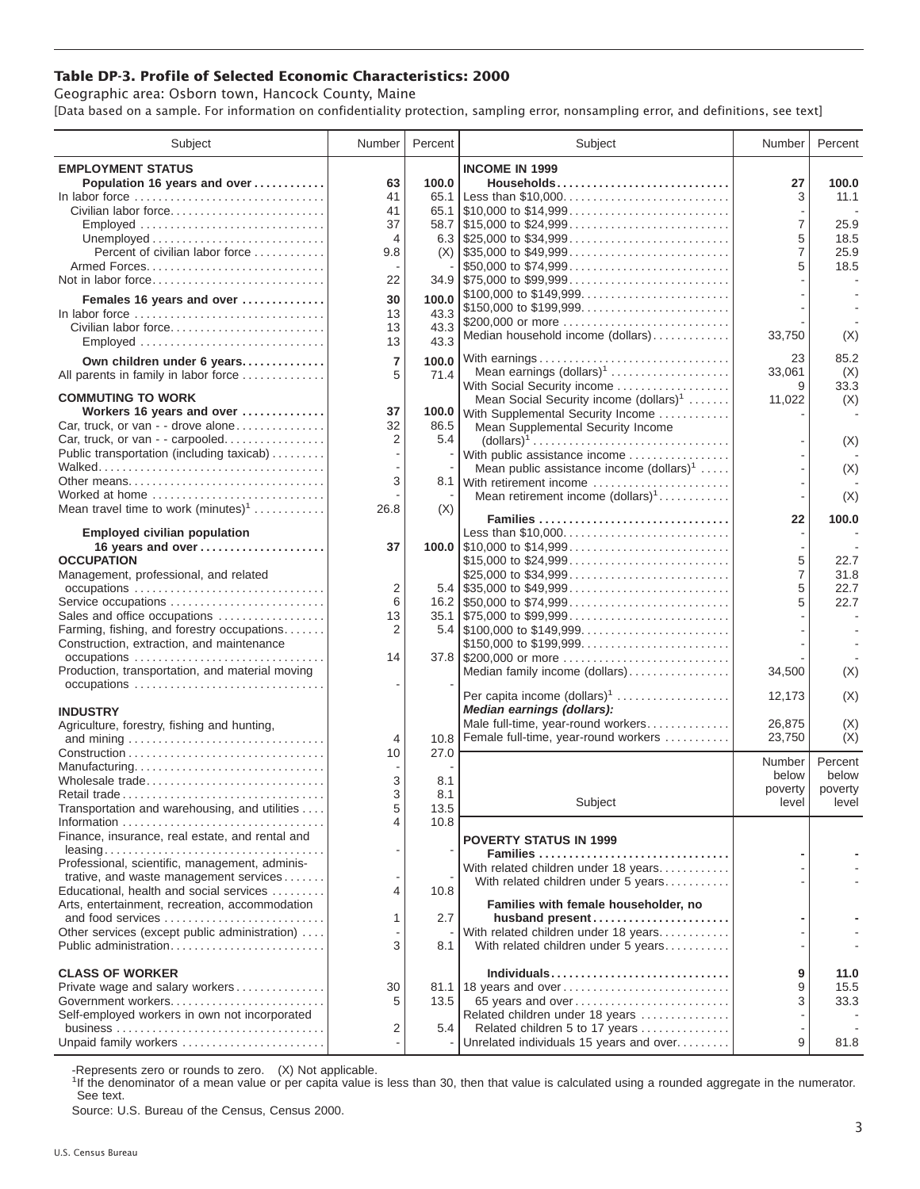## **Table DP-3. Profile of Selected Economic Characteristics: 2000**

Geographic area: Osborn town, Hancock County, Maine [Data based on a sample. For information on confidentiality protection, sampling error, nonsampling error, and definitions, see text]

| Subject                                                             | Number         | Percent | Subject                                                           | Number <sup>1</sup> | Percent          |
|---------------------------------------------------------------------|----------------|---------|-------------------------------------------------------------------|---------------------|------------------|
| <b>EMPLOYMENT STATUS</b>                                            |                |         | <b>INCOME IN 1999</b>                                             |                     |                  |
| Population 16 years and over                                        | 63             | 100.0   | Households                                                        | 27                  | 100.0            |
| In labor force                                                      | 41             |         | 65.1 Less than \$10,000                                           | 3                   | 11.1             |
| Civilian labor force                                                | 41             |         |                                                                   |                     |                  |
| Employed                                                            | 37             |         |                                                                   | 7                   | 25.9             |
|                                                                     | $\overline{4}$ |         |                                                                   | 5                   | 18.5             |
| Percent of civilian labor force                                     | 9.8            |         |                                                                   | $\overline{7}$      | 25.9             |
| Armed Forces                                                        |                |         | \$50,000 to \$74,999                                              | 5                   | 18.5             |
| Not in labor force                                                  | 22             |         | $34.9$ \\$75,000 to \$99,999                                      |                     |                  |
| Females 16 years and over                                           | 30             | 100.0   |                                                                   |                     |                  |
| In labor force                                                      | 13             | 43.3    | \$150,000 to \$199,999<br>\$200,000 or more                       |                     |                  |
| Civilian labor force                                                | 13             | 43.3    | Median household income (dollars)                                 | 33,750              | (X)              |
| Employed                                                            | 13             | 43.3    |                                                                   |                     |                  |
| Own children under 6 years                                          | $\overline{7}$ | 100.0   | With earnings                                                     | 23                  | 85.2             |
| All parents in family in labor force                                | 5              | 71.4    | Mean earnings (dollars) <sup>1</sup>                              | 33,061              | (X)              |
|                                                                     |                |         | With Social Security income                                       | 9                   | 33.3             |
| <b>COMMUTING TO WORK</b><br>Workers 16 years and over               | 37             |         | Mean Social Security income (dollars) <sup>1</sup>                | 11,022              | (X)              |
| Car, truck, or van - - drove alone                                  | 32             | 86.5    | 100.0 With Supplemental Security Income                           |                     |                  |
| Car, truck, or van - - carpooled                                    | 2              | 5.4     | Mean Supplemental Security Income                                 |                     |                  |
| Public transportation (including taxicab)                           |                |         | With public assistance income                                     |                     | (X)              |
|                                                                     |                |         | Mean public assistance income $(dollars)1 \ldots$ .               |                     | (X)              |
| Other means                                                         | 3              |         | 8.1 With retirement income                                        |                     |                  |
| Worked at home                                                      |                |         | Mean retirement income $(dollars)1$                               |                     | (X)              |
| Mean travel time to work $(minutes)^1$                              | 26.8           | (X)     |                                                                   |                     |                  |
|                                                                     |                |         | Families                                                          | 22                  | 100.0            |
| <b>Employed civilian population</b>                                 |                |         | Less than \$10,000                                                |                     |                  |
| 16 years and over<br><b>OCCUPATION</b>                              | 37             |         | \$15,000 to \$24,999                                              | 5                   | 22.7             |
| Management, professional, and related                               |                |         | \$25,000 to \$34,999                                              | $\overline{7}$      | 31.8             |
| occupations                                                         | $\overline{2}$ |         |                                                                   | 5                   | 22.7             |
| Service occupations                                                 | 6              |         |                                                                   | 5                   | 22.7             |
| Sales and office occupations                                        | 13             |         | $35.1$ \$75,000 to \$99,999                                       |                     |                  |
| Farming, fishing, and forestry occupations                          | $\overline{2}$ |         |                                                                   |                     |                  |
| Construction, extraction, and maintenance                           |                |         | \$150,000 to \$199,999                                            |                     |                  |
| occupations                                                         | 14             |         | 37.8 \$200,000 or more                                            |                     |                  |
| Production, transportation, and material moving                     |                |         | Median family income (dollars)                                    | 34,500              | (X)              |
| occupations                                                         |                |         | Per capita income (dollars) <sup>1</sup>                          | 12,173              | (X)              |
| <b>INDUSTRY</b>                                                     |                |         | Median earnings (dollars):                                        |                     |                  |
| Agriculture, forestry, fishing and hunting,                         |                |         | Male full-time, year-round workers                                | 26,875              | (X)              |
|                                                                     | $\overline{4}$ | 10.8    | Female full-time, year-round workers                              | 23,750              | (X)              |
|                                                                     | 10             | 27.0    |                                                                   |                     |                  |
| Manufacturing                                                       |                |         |                                                                   | Number              | Percent          |
| Wholesale trade                                                     | 3              | 8.1     |                                                                   | below               | below            |
| Retail trade                                                        | 3              | 8.1     | Subject                                                           | poverty<br>level    | poverty<br>level |
| Transportation and warehousing, and utilities                       | 5              | 13.5    |                                                                   |                     |                  |
|                                                                     | 4              | 10.8    |                                                                   |                     |                  |
| Finance, insurance, real estate, and rental and                     |                |         | <b>POVERTY STATUS IN 1999</b>                                     |                     |                  |
| Professional, scientific, management, adminis-                      |                |         | Families                                                          |                     |                  |
| trative, and waste management services                              |                |         | With related children under 18 years                              |                     |                  |
| Educational, health and social services                             | 4              | 10.8    | With related children under 5 years                               |                     |                  |
| Arts, entertainment, recreation, accommodation                      |                |         | Families with female householder, no                              |                     |                  |
| and food services                                                   | 1              | 2.7     | husband present                                                   |                     |                  |
| Other services (except public administration)                       |                |         | With related children under 18 years                              |                     |                  |
| Public administration                                               | 3              | 8.1     | With related children under 5 years                               |                     |                  |
|                                                                     |                |         |                                                                   |                     |                  |
| <b>CLASS OF WORKER</b>                                              |                |         | Individuals                                                       | 9                   | 11.0             |
| Private wage and salary workers                                     | 30             |         | 81.1 18 years and over                                            | 9                   | 15.5             |
| Government workers<br>Self-employed workers in own not incorporated | 5              | 13.5    | 65 years and over                                                 | 3                   | 33.3             |
|                                                                     | 2              | 5.4     | Related children under 18 years<br>Related children 5 to 17 years |                     |                  |
| Unpaid family workers                                               |                |         | Unrelated individuals 15 years and over                           | 9                   | 81.8             |
|                                                                     |                |         |                                                                   |                     |                  |

-Represents zero or rounds to zero. (X) Not applicable.

<sup>1</sup>If the denominator of a mean value or per capita value is less than 30, then that value is calculated using a rounded aggregate in the numerator. See text.

Source: U.S. Bureau of the Census, Census 2000.